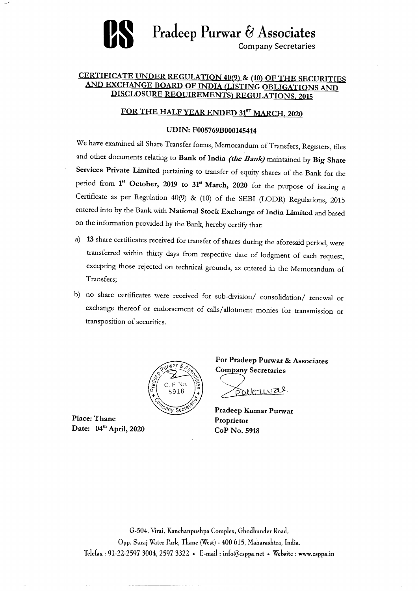# Pradeep Purwar & Associates **Company Secretaries**

## **CERTIFICATE UNDER REGULATION 40(9) & (10) OF THE SECURITIES** AND EXCHANGE BOARD OF INDIA (LISTING OBLIGATIONS AND DISCLOSURE REQUIREMENTS) REGULATIONS, 2015

## FOR THE HALF YEAR ENDED 31ST MARCH, 2020

## **UDIN: F005769B000145414**

We have examined all Share Transfer forms, Memorandum of Transfers, Registers, files

- and other documents relating to Bank of India (the Bank) maintained by Big Share Services Private Limited pertaining to transfer of equity shares of the Bank for the period from 1<sup>st</sup> October, 2019 to 31<sup>st</sup> March, 2020 for the purpose of issuing a Certificate as per Regulation 40(9) & (10) of the SEBI (LODR) Regulations, 2015 entered into by the Bank with National Stock Exchange of India Limited and based on the information provided by the Bank, hereby certify that:
- a) 13 share certificates received for transfer of shares during the aforesaid period, were transferred within thirty days from respective date of lodgment of each request, excepting those rejected on technical grounds, as entered in the Memorandum of Transfers;
- b) no share certificates were received for sub-division/ consolidation/ renewal or

exchange thereof or endorsement of calls/allotment monies for transmission or transposition of securities.



**Place: Thane** Date: 04<sup>th</sup> April, 2020

Pradeep Kumar Purwar Proprietor CoP No. 5918

**Company Secretaries** 

Polbural

For Pradeep Purwar & Associates

G-504, Virai, Kanchanpushpa Complex, Ghodbunder Road, Opp. Suraj Water Park, Thane (West) - 400 615, Maharashtra, India. Telefax: 91-22-2597 3004, 2597 3322 • E-mail: info@csppa.net • Website: www.csppa.in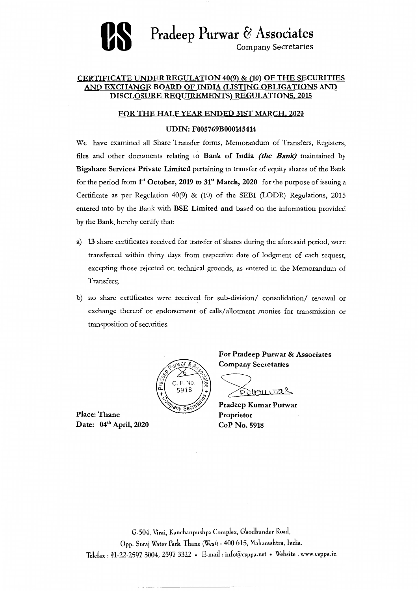

## **CERTIFICATE UNDER REGULATION 40(9) & (10) OF THE SECURITIES AND EXCHANGE BOARD OF INDIA (LISTING OBLIGATIONS AND DISCLOSURE REQUIREMENTS) REGULATIONS, 2015**

**FOR THE HALF YEAR ENDED 31ST MARCH, 2020** 

**UDIN: F005769B000145414** 

We have examined all Share Transfer forms, Memorandum of Transfers, Registers,

files and other documents relating to **Bank of India** *(the Bank)* maintained by **Bigshare Services Private Limited** pertaining to transfer of equity shares of the Bank for the period from **1" October, 2019 to 31" March, 2020** for the purpose of issuing a Certificate as per Regulation 40(9) & (10) of the SEBI (LODR) Regulations, 2015 entered into by the Bank with **BSE Limited and** based on the information provided by the Bank, hereby certify that:

**Place: Thane Date:** 04<sup>th</sup> April, 2020

- **a) 13** share certificates received for transfer of shares during the aforesaid period, were transferred within thirty days from respective date of lodgment of each request, excepting those rejected on technical grounds, as entered in the Memorandum of Transfers;
- b) no share certificates were received for sub-division/ consolidation/ renewal or

exchange thereof or endorsement of calls/allotment monies for transmission or transposition of securities.



**For Pradeep Purwar & Associates Company Secretaries** 



**Pradeep Kumar Purwar** 

**Proprietor CoP No. 5918** 

G-504, Virai, Kanchanpuskpa Complex, Ghodbunder Road, Opp. Suraj Water Park, Thane (West) - 400 615, Maharashtra, India. Telefax : 91-22-2597 3004, 2597 3322 • E-mail : info@csppa.net • Website : www.csppa.in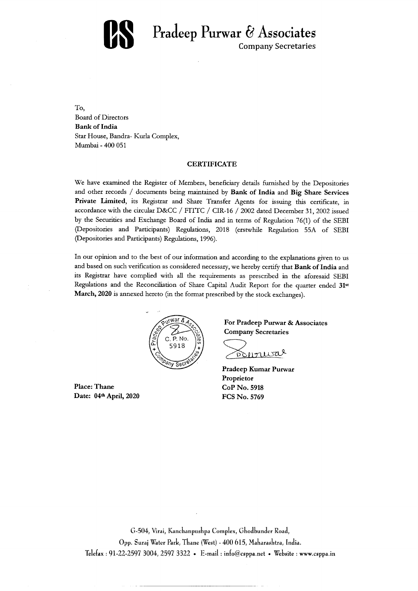# Pradeep Purwar & Associates K **Company Secretaries**

To, **Board of Directors Bank of India** Star House, Bandra- Kurla Complex, Mumbai - 400 051

### **CERTIFICATE**

We have examined the Register of Members, beneficiary details furnished by the Depositories and other records / documents being maintained by Bank of India and Big Share Services Private Limited, its Registrar and Share Transfer Agents for issuing this certificate, in accordance with the circular D&CC / FITTC / CIR-16 / 2002 dated December 31, 2002 issued by the Securities and Exchange Board of India and in terms of Regulation 76(1) of the SEBI (Depositories and Participants) Regulations, 2018 (erstwhile Regulation 55A of SEBI (Depositories and Participants) Regulations, 1996).

In our opinion and to the best of our information and according to the explanations given to us and based on such verification as considered necessary, we hereby certify that Bank of India and its Registrar have complied with all the requirements as prescribed in the aforesaid SEBI Regulations and the Reconciliation of Share Capital Audit Report for the quarter ended 31st March, 2020 is annexed hereto (in the format prescribed by the stock exchanges).



For Pradeep Purwar & Associates **Company Secretaries** 



**Pradeep Kumar Purwar** Proprietor CoP No. 5918 **FCS No. 5769** 

**Place: Thane** Date: 04th April, 2020

G-504, Virai, Kanchanpushpa Complex, Ghodbunder Road, Opp. Suraj Water Park, Thane (West) - 400 615, Maharashtra, India. Telefax: 91-22-2597 3004, 2597 3322 • E-mail: info@csppa.net • Website: www.csppa.in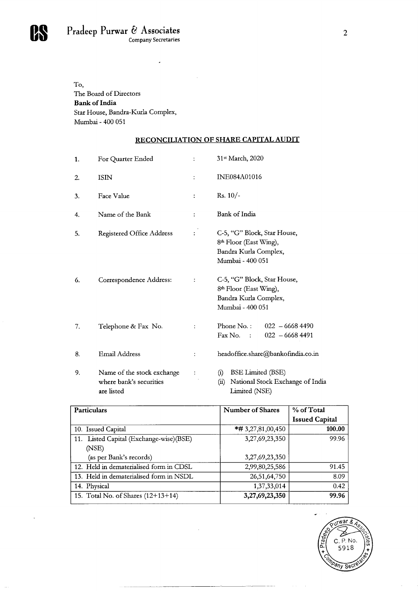

To, The Board of Directors **Bank of India** Star House, Bandra-Kurla Complex, Mumbai - 400 051

### RECONCILIATION OF SHARE CAPITAL AUDIT

- 31<sup>st</sup> March, 2020 For Quarter Ended 1.  $\mathbb{C}^{\times}$
- INE084A01016 **2.** ISIN  $\mathcal{L}^{\pm}$
- Rs.  $10/-$ Face Value  $3.$  $\frac{1}{4}$  .

 $\bullet$ 

- Name of the Bank 4.  $\ddot{\bullet}$
- Registered Office Address 5.

Bank of India

C-5, "G" Block, Star House, 8<sup>th</sup> Floor (East Wing), Bandra Kurla Complex, Mumbai - 400 051

Correspondence Address: 6.

C-5, "G" Block, Star House, 8<sup>th</sup> Floor (East Wing), Bandra Kurla Complex,

### Mumbai - 400 051

 $022 - 66684490$ Telephone & Fax No. Phone No.:  $7.$  $\ddot{\ddot{\psi}}$  $\text{Fax No.}$  :  $022 - 66684491$ 

 $\mathbb{C}^{\times}$ 

 $\mathbb{C}^{\times}$ 

- headoffice.share@bankofindia.co.in Email Address 8.  $\ddot{\ddot{\xi}}$  .
- Name of the stock exchange 9.  $\mathcal{L}_{\mathrm{eff}}$  $\rightarrow$ where bank's securities are listed

 $\sim$ 

 $\sim$  -  $\sim$   $\sim$ 

**BSE Limited (BSE)**  $(i)$ National Stock Exchange of India  $(ii)$ Limited (NSE)

| <b>Particulars</b>                      | <b>Number of Shares</b> | % of Total            |  |
|-----------------------------------------|-------------------------|-----------------------|--|
|                                         |                         | <b>Issued Capital</b> |  |
| 10. Issued Capital                      | $*#3,27,81,00,450$      | 100.00                |  |
| 11. Listed Capital (Exchange-wise)(BSE) | 3,27,69,23,350          | 99.96                 |  |
| (NSE)                                   |                         |                       |  |
| (as per Bank's records)                 | 3,27,69,23,350          |                       |  |
| 12. Held in dematerialised form in CDSL | 2,99,80,25,586          | 91.45                 |  |
| 13. Held in dematerialised form in NSDL | 26, 51, 64, 750         | 8.09                  |  |
| 14. Physical                            | 1, 37, 33, 014          | 0.42                  |  |
| 15. Total No. of Shares $(12+13+14)$    | 3,27,69,23,350          | 99.96                 |  |

 $\sim$ 



the contract of

 $\overline{2}$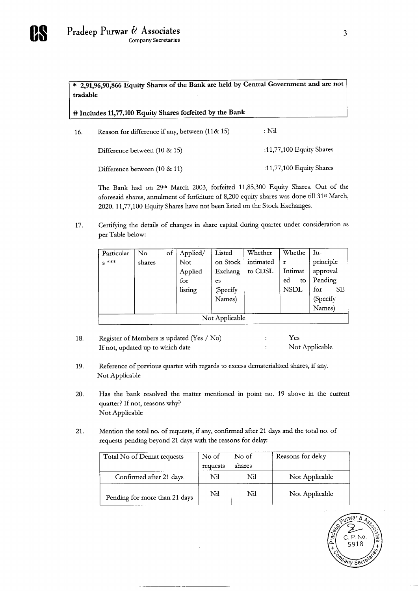

 $\overline{\text{*}$  2,91,96,90,866 Equity Shares of the Bank are held by Central Government and are not tradable

# Includes 11,77,100 Equity Shares forfeited by the Bank

 $:$  Nil Reason for difference if any, between (11& 15) 16.

Difference between (10 & 15)

:11,77,100 Equity Shares

 $\mathfrak{Z}$ 

:11,77,100 Equity Shares Difference between (10 & 11)

The Bank had on 29th March 2003, forfeited 11,85,300 Equity Shares. Out of the aforesaid shares, annulment of forfeiture of 8,200 equity shares was done till 31<sup>st</sup> March, 2020. 11,77,100 Equity Shares have not been listed on the Stock Exchanges.

Certifying the details of changes in share capital during quarter under consideration as 17. per Table below:

| Particular | $\rm No$ | of $\vert$ Applied/ | Listed    | Whether   | <b>Whethe</b> | $In-$            |
|------------|----------|---------------------|-----------|-----------|---------------|------------------|
| $s^{***}$  | shares   | <b>Not</b>          | on Stock  | intimated |               | principle        |
|            |          | Applied             | Exchang   | to CDSL   | Intimat       | approval         |
|            |          | for                 | es        |           | ed<br>to.     | $\vert$ Pending  |
|            |          | listing             | (Specify) |           | <b>NSDL</b>   | for<br><b>SE</b> |
|            |          |                     | Names)    |           |               | (Specify)        |

|                            |  |  |  |  |  | Names |
|----------------------------|--|--|--|--|--|-------|
| Not Applicable<br>-------- |  |  |  |  |  |       |

- Register of Members is updated (Yes / No) Yes 18.  $\mathcal{I}^{\mathcal{I}}$ Not Applicable If not, updated up to which date  $\ddot{\ddot{}}$  .
- Reference of previous quarter with regards to excess dematerialized shares, if any. 19. Not Applicable
- Has the bank resolved the matter mentioned in point no. 19 above in the current 20. quarter? If not, reasons why? Not Applicable
- Mention the total no. of requests, if any, confirmed after 21 days and the total no. of 21. requests pending beyond 21 days with the reasons for delay:

 $\sim 10^{-1}$ 

| Total No of Demat requests    | No of    | No of  | Reasons for delay |
|-------------------------------|----------|--------|-------------------|
|                               | requests | shares |                   |
| Confirmed after 21 days       | Nil      | Nil    | Not Applicable    |
| Pending for more than 21 days | Nil      | Nil    | Not Applicable    |



 $\cdot$   $\cdot$   $\cdot$   $\cdot$   $\cdot$   $\cdot$